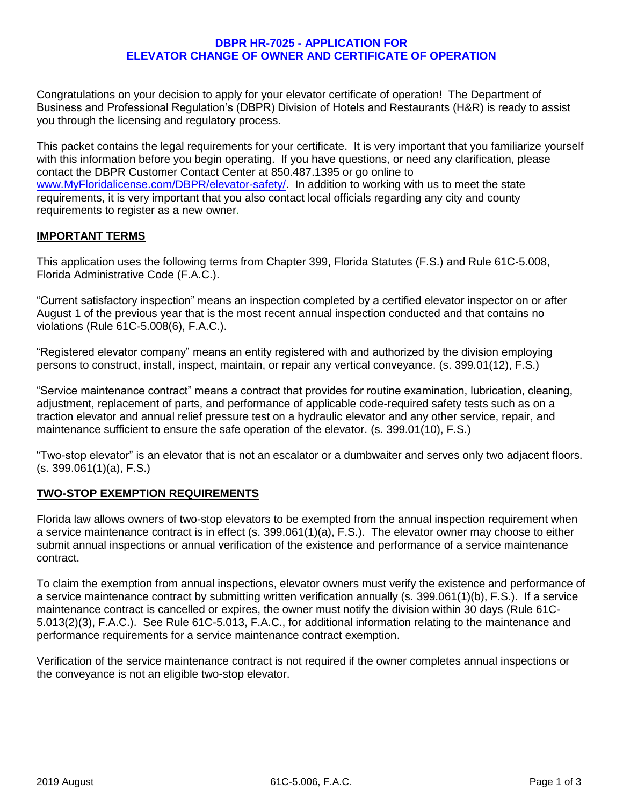#### **DBPR HR-7025 - APPLICATION FOR ELEVATOR CHANGE OF OWNER AND CERTIFICATE OF OPERATION**

Congratulations on your decision to apply for your elevator certificate of operation! The Department of Business and Professional Regulation's (DBPR) Division of Hotels and Restaurants (H&R) is ready to assist you through the licensing and regulatory process.

This packet contains the legal requirements for your certificate. It is very important that you familiarize yourself with this information before you begin operating. If you have questions, or need any clarification, please contact the DBPR Customer Contact Center at 850.487.1395 or go online to [www.MyFloridalicense.com/DBPR/elevator-safety/.](http://www.myfloridalicense.com/DBPR/elevator-safety/) In addition to working with us to meet the state requirements, it is very important that you also contact local officials regarding any city and county requirements to register as a new owner.

# **IMPORTANT TERMS**

This application uses the following terms from Chapter 399, Florida Statutes (F.S.) and Rule 61C-5.008, Florida Administrative Code (F.A.C.).

"Current satisfactory inspection" means an inspection completed by a certified elevator inspector on or after August 1 of the previous year that is the most recent annual inspection conducted and that contains no violations (Rule 61C-5.008(6), F.A.C.).

"Registered elevator company" means an entity registered with and authorized by the division employing persons to construct, install, inspect, maintain, or repair any vertical conveyance. (s. 399.01(12), F.S.)

"Service maintenance contract" means a contract that provides for routine examination, lubrication, cleaning, adjustment, replacement of parts, and performance of applicable code-required safety tests such as on a traction elevator and annual relief pressure test on a hydraulic elevator and any other service, repair, and maintenance sufficient to ensure the safe operation of the elevator. (s. 399.01(10), F.S.)

"Two-stop elevator" is an elevator that is not an escalator or a dumbwaiter and serves only two adjacent floors. (s. 399.061(1)(a), F.S.)

# **TWO-STOP EXEMPTION REQUIREMENTS**

Florida law allows owners of two-stop elevators to be exempted from the annual inspection requirement when a service maintenance contract is in effect (s. 399.061(1)(a), F.S.). The elevator owner may choose to either submit annual inspections or annual verification of the existence and performance of a service maintenance contract.

To claim the exemption from annual inspections, elevator owners must verify the existence and performance of a service maintenance contract by submitting written verification annually (s. 399.061(1)(b), F.S.). If a service maintenance contract is cancelled or expires, the owner must notify the division within 30 days (Rule 61C-5.013(2)(3), F.A.C.). See Rule 61C-5.013, F.A.C., for additional information relating to the maintenance and performance requirements for a service maintenance contract exemption.

Verification of the service maintenance contract is not required if the owner completes annual inspections or the conveyance is not an eligible two-stop elevator.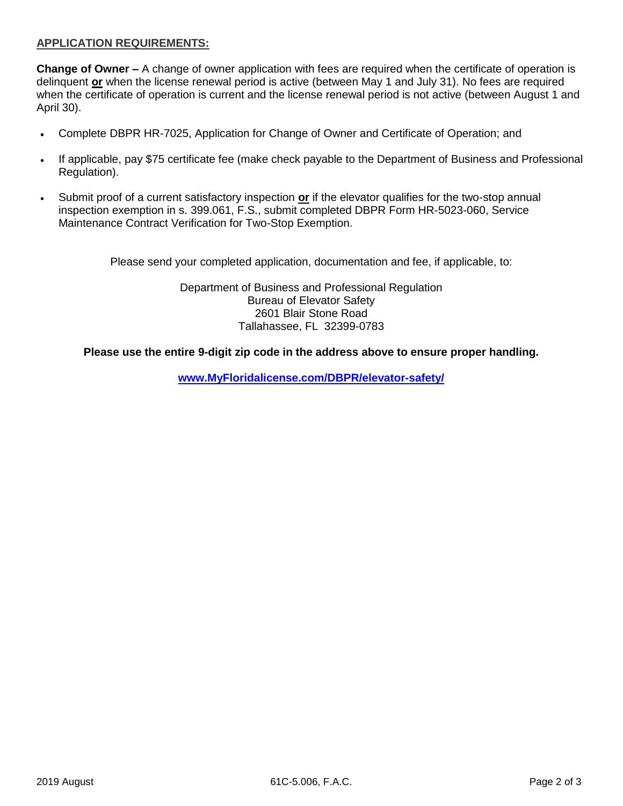# **APPLICATION REQUIREMENTS:**

**Change of Owner –** A change of owner application with fees are required when the certificate of operation is delinquent **or** when the license renewal period is active (between May 1 and July 31). No fees are required when the certificate of operation is current and the license renewal period is not active (between August 1 and April 30).

- Complete DBPR HR-7025, Application for Change of Owner and Certificate of Operation; and
- If applicable, pay \$75 certificate fee (make check payable to the Department of Business and Professional Regulation).
- Submit proof of a current satisfactory inspection **or** if the elevator qualifies for the two-stop annual inspection exemption in s. 399.061, F.S., submit completed DBPR Form HR-5023-060, Service Maintenance Contract Verification for Two-Stop Exemption.

Please send your completed application, documentation and fee, if applicable, to:

Department of Business and Professional Regulation Bureau of Elevator Safety 2601 Blair Stone Road Tallahassee, FL 32399-0783

#### **Please use the entire 9-digit zip code in the address above to ensure proper handling.**

**[www.MyFloridalicense.com/DBPR/elevator-safety/](http://www.myfloridalicense.com/DBPR/elevator-safety/)**